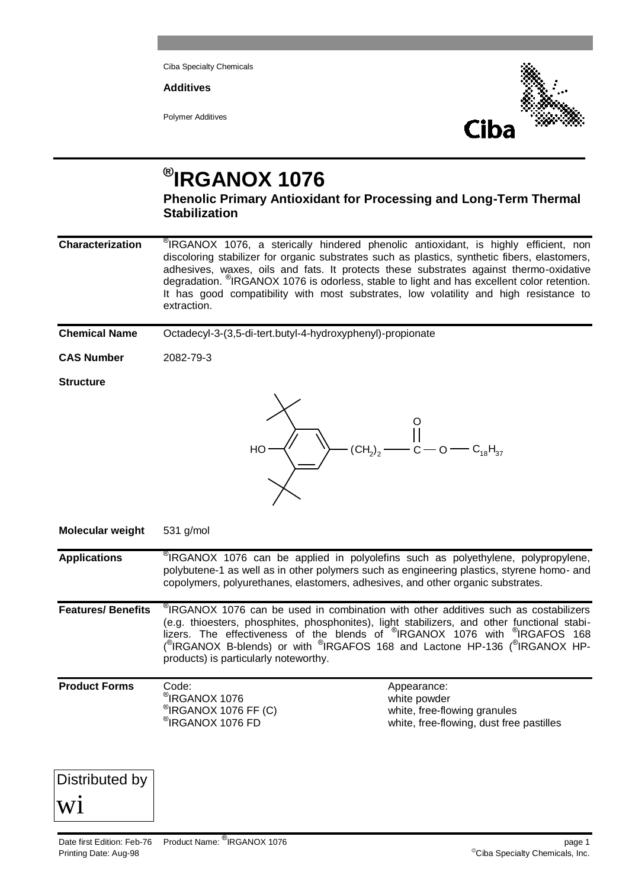Ciba Specialty Chemicals

**Additives**

Polymer Additives



## **® IRGANOX 1076**

**Phenolic Primary Antioxidant for Processing and Long-Term Thermal Stabilization**

**Characterization**  $\textdegree$ IRGANOX 1076, a sterically hindered phenolic antioxidant, is highly efficient, non discoloring stabilizer for organic substrates such as plastics, synthetic fibers, elastomers, adhesives, waxes, oils and fats. It protects these substrates against thermo-oxidative degradation. <sup>®</sup>IRGANOX 1076 is odorless, stable to light and has excellent color retention. It has good compatibility with most substrates, low volatility and high resistance to extraction.

**Chemical Name** Octadecyl-3-(3,5-di-tert.butyl-4-hydroxyphenyl)-propionate

**CAS Number** 2082-79-3

## **Structure**



**Molecular weight** 531 g/mol

**Applications** ®  $\degree$ IRGANOX 1076 can be applied in polyolefins such as polyethylene, polypropylene, polybutene-1 as well as in other polymers such as engineering plastics, styrene homo- and copolymers, polyurethanes, elastomers, adhesives, and other organic substrates.

**Features/ Benefits**  $\degree$ IRGANOX 1076 can be used in combination with other additives such as costabilizers (e.g. thioesters, phosphites, phosphonites), light stabilizers, and other functional stabilizers. The effectiveness of the blends of <sup>®</sup>IRGANOX 1076 with <sup>®</sup>IRGAFOS 168 (<sup>®</sup>IRGANOX B-blends) or with <sup>®</sup>IRGAFOS 168 and Lactone HP-136 (<sup>®</sup>IRGANOX HPproducts) is particularly noteworthy.

| $\degree$ IRGANOX 1076 FD<br>white, free-flowing, dust free pastilles | <b>Product Forms</b> | Code:<br><sup>®</sup> IRGANOX 1076<br>$\mathcal{O}(RGANOX 1076 FF(C))$ | Appearance:<br>white powder<br>white, free-flowing granules |
|-----------------------------------------------------------------------|----------------------|------------------------------------------------------------------------|-------------------------------------------------------------|
|-----------------------------------------------------------------------|----------------------|------------------------------------------------------------------------|-------------------------------------------------------------|

Distributed by

wi